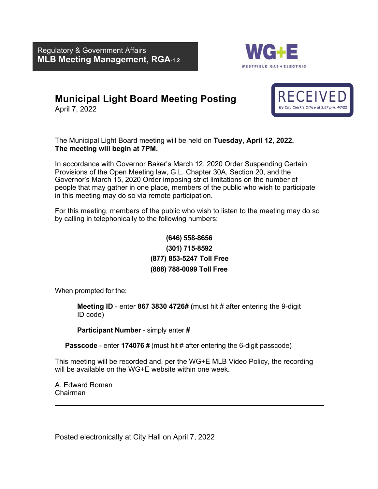Regulatory & Government Affairs **MLB Meeting Management, RGA-1.2**



## **Municipal Light Board Meeting Posting**

April 7, 2022



The Municipal Light Board meeting will be held on **Tuesday, April 12, 2022. The meeting will begin at 7PM.**

In accordance with Governor Baker's March 12, 2020 Order Suspending Certain Provisions of the Open Meeting law, G.L. Chapter 30A, Section 20, and the Governor's March 15, 2020 Order imposing strict limitations on the number of people that may gather in one place, members of the public who wish to participate in this meeting may do so via remote participation.

For this meeting, members of the public who wish to listen to the meeting may do so by calling in telephonically to the following numbers:

### **[\(646\) 5](tel:+1.857.444.6500,,916580061)58-8656 (301) 715-8592 (877) 853-5247 Toll Free (888) 788-0099 Toll Free**

When prompted for the:

**Meeting ID** - enter **867 3830 4726# (**must hit # after entering the 9-digit ID code)

**Participant Number** - simply enter **#** 

**Passcode** - enter **174076 #** (must hit # after entering the 6-digit passcode)

This meeting will be recorded and, per the WG+E MLB Video Policy, the recording will be available on the WG+E website within one week.

A. Edward Roman Chairman

Posted electronically at City Hall on April 7, 2022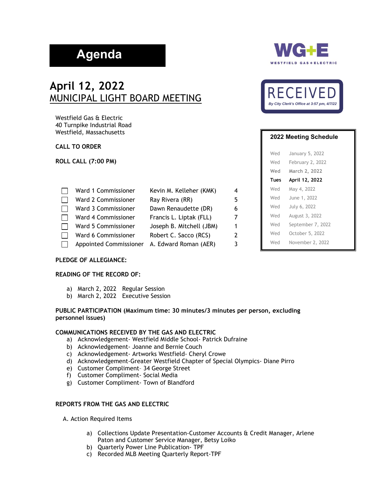# **Agenda**

## **April 12, 2022** MUNICIPAL LIGHT BOARD MEETING

Westfield Gas & Electric 40 Turnpike Industrial Road Westfield, Massachusetts

#### **CALL TO ORDER**

**ROLL CALL (7:00 PM)** 

| Ward 1 Commissioner           | Kevin M. Kelleher (KMK)  | 4 |
|-------------------------------|--------------------------|---|
| Ward 2 Commissioner           | Ray Rivera (RR)          | 5 |
| Ward 3 Commissioner           | Dawn Renaudette (DR)     | 6 |
| Ward 4 Commissioner           | Francis L. Liptak (FLL)  | 7 |
| Ward 5 Commissioner           | Joseph B. Mitchell (JBM) | 1 |
| Ward 6 Commissioner           | Robert C. Sacco (RCS)    | 2 |
| <b>Appointed Commissioner</b> | A. Edward Roman (AER)    | 3 |

#### **PLEDGE OF ALLEGIANCE:**

#### **READING OF THE RECORD OF:**

- a) March 2, 2022 Regular Session
- b) March 2, 2022 Executive Session

#### **PUBLIC PARTICIPATION (Maximum time: 30 minutes/3 minutes per person, excluding personnel issues)**

#### **COMMUNICATIONS RECEIVED BY THE GAS AND ELECTRIC**

- a) Acknowledgement- Westfield Middle School- Patrick Dufraine
- b) Acknowledgement- Joanne and Bernie Couch
- c) Acknowledgement- Artworks Westfield- Cheryl Crowe
- d) Acknowledgement-Greater Westfield Chapter of Special Olympics- Diane Pirro
- e) Customer Compliment– 34 George Street
- f) Customer Compliment- Social Media
- g) Customer Compliment- Town of Blandford

#### **REPORTS FROM THE GAS AND ELECTRIC**

A. Action Required Items

- a) Collections Update Presentation-Customer Accounts & Credit Manager, Arlene Paton and Customer Service Manager, Betsy Loiko
- b) Quarterly Power Line Publication- TPF
- c) Recorded MLB Meeting Quarterly Report-TPF





| 2022 Meeting Schedule |      |                   |
|-----------------------|------|-------------------|
|                       | Wed  | January 5, 2022   |
|                       | Wed  | February 2, 2022  |
|                       | Wed  | March 2, 2022     |
|                       | Tues | April 12, 2022    |
|                       | Wed  | May 4, 2022       |
|                       | Wed  | June 1, 2022      |
|                       | Wed  | July 6, 2022      |
|                       | Wed  | August 3, 2022    |
|                       | Wed  | September 7, 2022 |
|                       | Wed  | October 5, 2022   |
|                       | Wed  | November 2, 2022  |
|                       |      |                   |